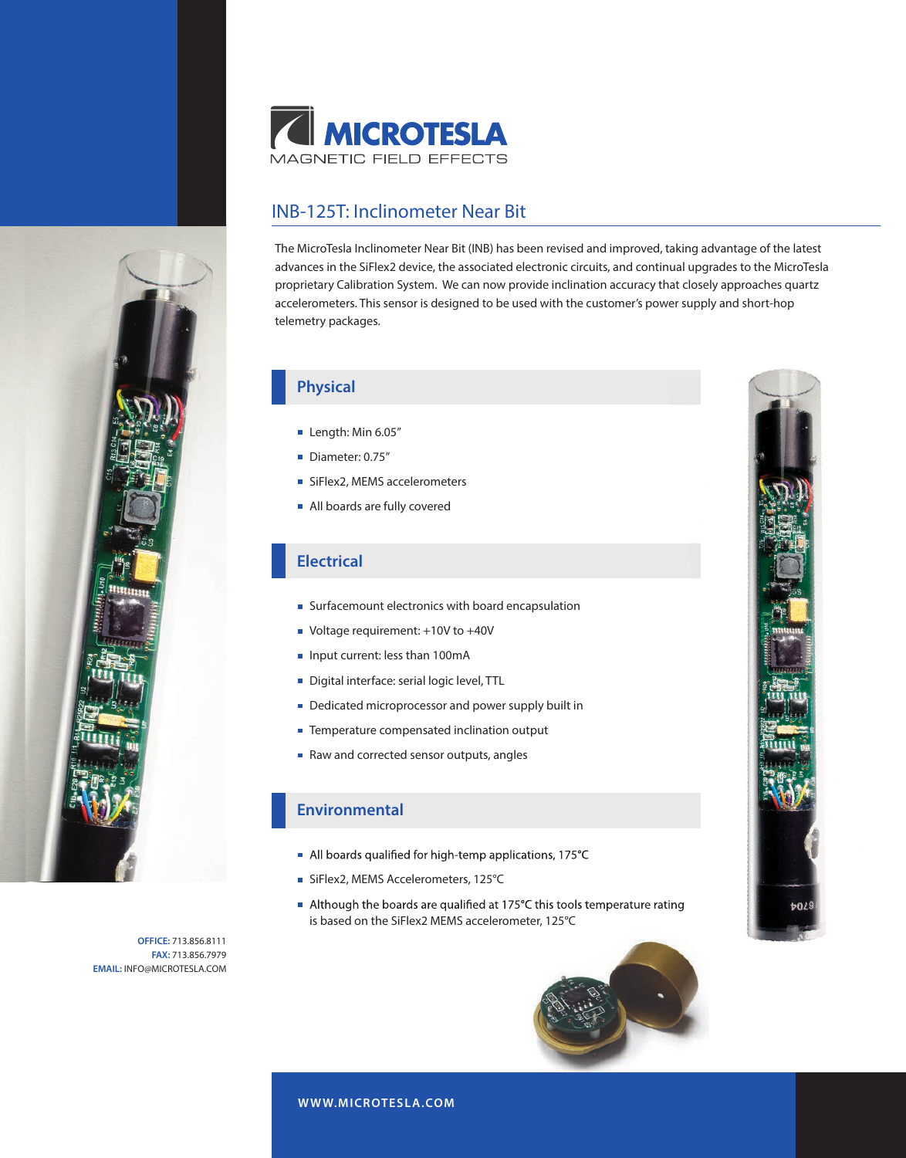

# INB-125T: Inclinometer Near Bit

The MicroTesla Inclinometer Near Bit (INB) has been revised and improved, taking advantage of the latest advances in the SiFlex2 device, the associated electronic circuits, and continual upgrades to the MicroTesla proprietary Calibration System. We can now provide inclination accuracy that closely approaches quartz accelerometers. This sensor is designed to be used with the customer's power supply and short-hop telemetry packages.

# **Physical**

- Length: Min 6.05"
- Diameter: 0.75"
- SiFlex2, MEMS accelerometers
- All boards are fully covered

### **Electrical**

- Surfacemount electronics with board encapsulation
- Voltage requirement: +10V to +40V
- Input current: less than 100mA
- Digital interface: serial logic level, TTL
- Dedicated microprocessor and power supply built in
- Temperature compensated inclination output
- Raw and corrected sensor outputs, angles

#### **Environmental**

- All boards qualified for high-temp applications, 175°C
- SiFlex2, MEMS Accelerometers, 125°C
- Although the boards are qualified at 175°C this tools temperature rating is based on the SiFlex2 MEMS accelerometer, 125°C



**OFFICE:** 713.856.8111 **FAX:** 713.856.7979 **EMAIL:** INFO@MICROTESLA.COM

**W WW.MICROTESLA.COM**